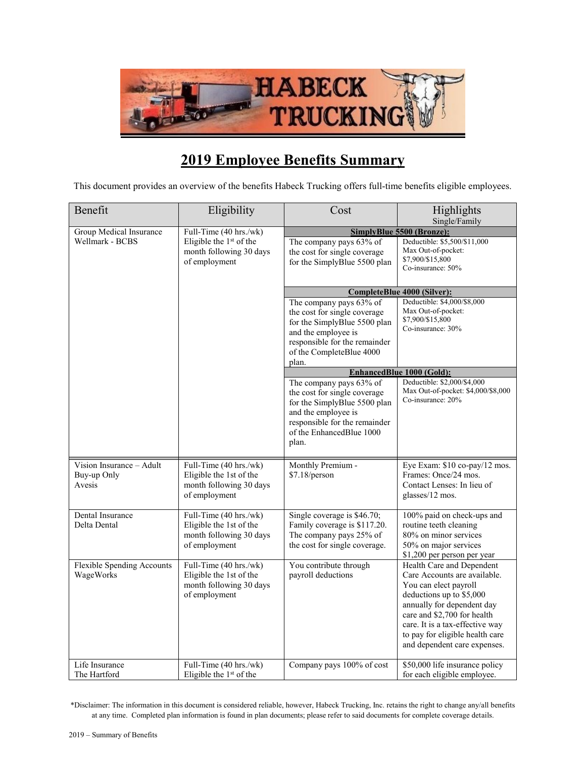

## **2019 Employee Benefits Summary**

This document provides an overview of the benefits Habeck Trucking offers full-time benefits eligible employees.

| Benefit                                           | Eligibility                                                                                   | Cost                                                                                                                                                                                 | Highlights<br>Single/Family                                                                                                                                                                                                                                                       |
|---------------------------------------------------|-----------------------------------------------------------------------------------------------|--------------------------------------------------------------------------------------------------------------------------------------------------------------------------------------|-----------------------------------------------------------------------------------------------------------------------------------------------------------------------------------------------------------------------------------------------------------------------------------|
| Group Medical Insurance                           | Full-Time (40 hrs./wk)                                                                        |                                                                                                                                                                                      | SimplyBlue 5500 (Bronze):                                                                                                                                                                                                                                                         |
| Wellmark - BCBS                                   | Eligible the $1st$ of the<br>month following 30 days<br>of employment                         | The company pays 63% of<br>the cost for single coverage<br>for the SimplyBlue 5500 plan                                                                                              | Deductible: \$5,500/\$11,000<br>Max Out-of-pocket:<br>\$7,900/\$15,800<br>Co-insurance: 50%                                                                                                                                                                                       |
|                                                   |                                                                                               | CompleteBlue 4000 (Silver):                                                                                                                                                          |                                                                                                                                                                                                                                                                                   |
|                                                   |                                                                                               | The company pays 63% of<br>the cost for single coverage<br>for the SimplyBlue 5500 plan<br>and the employee is<br>responsible for the remainder<br>of the CompleteBlue 4000<br>plan. | Deductible: \$4,000/\$8,000<br>Max Out-of-pocket:<br>\$7,900/\$15,800<br>Co-insurance: 30%                                                                                                                                                                                        |
|                                                   |                                                                                               | EnhancedBlue 1000 (Gold):                                                                                                                                                            |                                                                                                                                                                                                                                                                                   |
|                                                   |                                                                                               | The company pays 63% of<br>the cost for single coverage<br>for the SimplyBlue 5500 plan<br>and the employee is<br>responsible for the remainder<br>of the EnhancedBlue 1000<br>plan. | Deductible: \$2,000/\$4,000<br>Max Out-of-pocket: \$4,000/\$8,000<br>Co-insurance: 20%                                                                                                                                                                                            |
| Vision Insurance - Adult<br>Buy-up Only<br>Avesis | Full-Time (40 hrs./wk)<br>Eligible the 1st of the<br>month following 30 days<br>of employment | Monthly Premium -<br>\$7.18/person                                                                                                                                                   | Eye Exam: \$10 co-pay/12 mos.<br>Frames: Once/24 mos.<br>Contact Lenses: In lieu of<br>glasses/12 mos.                                                                                                                                                                            |
| Dental Insurance<br>Delta Dental                  | Full-Time (40 hrs./wk)<br>Eligible the 1st of the<br>month following 30 days<br>of employment | Single coverage is \$46.70;<br>Family coverage is \$117.20.<br>The company pays 25% of<br>the cost for single coverage.                                                              | 100% paid on check-ups and<br>routine teeth cleaning<br>80% on minor services<br>50% on major services<br>\$1,200 per person per year                                                                                                                                             |
| <b>Flexible Spending Accounts</b><br>WageWorks    | Full-Time (40 hrs./wk)<br>Eligible the 1st of the<br>month following 30 days<br>of employment | You contribute through<br>payroll deductions                                                                                                                                         | Health Care and Dependent<br>Care Accounts are available.<br>You can elect payroll<br>deductions up to \$5,000<br>annually for dependent day<br>care and \$2,700 for health<br>care. It is a tax-effective way<br>to pay for eligible health care<br>and dependent care expenses. |
| Life Insurance<br>The Hartford                    | Full-Time (40 hrs./wk)<br>Eligible the $1st$ of the                                           | Company pays 100% of cost                                                                                                                                                            | \$50,000 life insurance policy<br>for each eligible employee.                                                                                                                                                                                                                     |

\*Disclaimer: The information in this document is considered reliable, however, Habeck Trucking, Inc. retains the right to change any/all benefits at any time. Completed plan information is found in plan documents; please refer to said documents for complete coverage details.